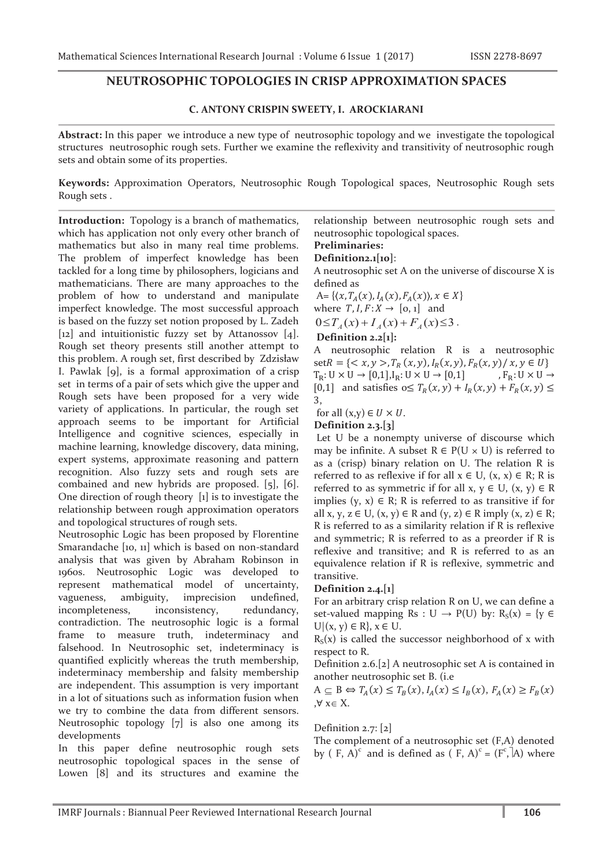## **NEUTROSOPHIC TOPOLOGIES IN CRISP APPROXIMATION SPACES**

#### **C. ANTONY CRISPIN SWEETY, I. AROCKIARANI**

**Abstract:** In this paper we introduce a new type of neutrosophic topology and we investigate the topological structures neutrosophic rough sets. Further we examine the reflexivity and transitivity of neutrosophic rough sets and obtain some of its properties.

**Keywords:** Approximation Operators, Neutrosophic Rough Topological spaces, Neutrosophic Rough sets Rough sets .

**Introduction:** Topology is a branch of mathematics, which has application not only every other branch of mathematics but also in many real time problems. The problem of imperfect knowledge has been tackled for a long time by philosophers, logicians and mathematicians. There are many approaches to the problem of how to understand and manipulate imperfect knowledge. The most successful approach is based on the fuzzy set notion proposed by L. Zadeh [12] and intuitionistic fuzzy set by Attanossov [4]. Rough set theory presents still another attempt to this problem. A rough set, first described by Zdzisław I. Pawlak [9], is a formal approximation of a crisp set in terms of a pair of sets which give the upper and Rough sets have been proposed for a very wide variety of applications. In particular, the rough set approach seems to be important for Artificial Intelligence and cognitive sciences, especially in machine learning, knowledge discovery, data mining, expert systems, approximate reasoning and pattern recognition. Also fuzzy sets and rough sets are combained and new hybrids are proposed. [5], [6]. One direction of rough theory [1] is to investigate the relationship between rough approximation operators and topological structures of rough sets.

Neutrosophic Logic has been proposed by Florentine Smarandache [10, 11] which is based on non-standard analysis that was given by Abraham Robinson in 1960s. Neutrosophic Logic was developed to represent mathematical model of uncertainty, vagueness, ambiguity, imprecision undefined, incompleteness, inconsistency, redundancy, contradiction. The neutrosophic logic is a formal frame to measure truth, indeterminacy and falsehood. In Neutrosophic set, indeterminacy is quantified explicitly whereas the truth membership, indeterminacy membership and falsity membership are independent. This assumption is very important in a lot of situations such as information fusion when we try to combine the data from different sensors. Neutrosophic topology [7] is also one among its developments

In this paper define neutrosophic rough sets neutrosophic topological spaces in the sense of Lowen [8] and its structures and examine the

relationship between neutrosophic rough sets and neutrosophic topological spaces.

#### **Preliminaries:**

#### **Definition2.1[10]**:

A neutrosophic set A on the universe of discourse X is defined as

 $A = \{ (x, T_A(x), I_A(x), F_A(x)), x \in X \}$ 

where  $T, I, F: X \rightarrow [0, 1]$  and

 $0 \le T_A(x) + I_A(x) + F_A(x) \le 3$ .

# **Definition 2.2[1]:**

A neutrosophic relation R is a neutrosophic  $setR = \{ \langle x, y \rangle, T_R(x, y), I_R(x, y), F_R(x, y) / x, y \in U \}$  $T_R: U \times U \rightarrow [0,1], I_R: U \times U \rightarrow [0,1]$   $F_R: U \times U \rightarrow$ [0,1] and satisfies  $o \leq T_R(x, y) + I_R(x, y) + F_R(x, y) \leq$ ͵,

for all  $(x,y) \in U \times U$ .

**Definition 2.3.[3]** 

 Let U be a nonempty universe of discourse which may be infinite. A subset  $R \in P(U \times U)$  is referred to as a (crisp) binary relation on U. The relation R is referred to as reflexive if for all  $x \in U$ ,  $(x, x) \in R$ ; R is referred to as symmetric if for all  $x, y \in U$ ,  $(x, y) \in R$ implies  $(y, x) \in R$ ; R is referred to as transitive if for all x, y,  $z \in U$ ,  $(x, y) \in R$  and  $(y, z) \in R$  imply  $(x, z) \in R$ ; R is referred to as a similarity relation if R is reflexive and symmetric; R is referred to as a preorder if R is reflexive and transitive; and R is referred to as an equivalence relation if R is reflexive, symmetric and transitive.

#### **Definition 2.4.[1]**

For an arbitrary crisp relation R on U, we can define a set-valued mapping Rs : U  $\rightarrow$  P(U) by: R<sub>S</sub>(x) = {y  $\in$  $U|(x, y) \in R$ ,  $x \in U$ .

 $R<sub>S</sub>(x)$  is called the successor neighborhood of x with respect to R.

Definition 2.6.[2] A neutrosophic set A is contained in another neutrosophic set B. (i.e

 $A \subseteq B \Leftrightarrow T_A(x) \leq T_B(x), I_A(x) \leq I_B(x), F_A(x) \geq F_B(x)$ ,  $\forall x \in X$ .

#### Definition 2.7: [2]

The complement of a neutrosophic set (F,A) denoted by ( F, A)<sup>c</sup> and is defined as ( F, A)<sup>c</sup> = (F<sup>c</sup>,  $\overline{A}$ ) where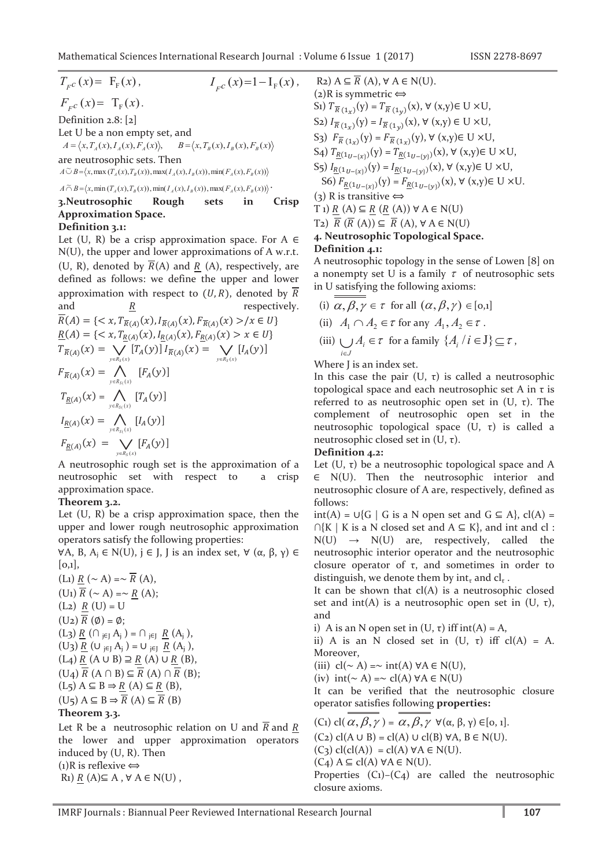$$
T_{F}c(x) = F_{F}(x),
$$
  $I_{F}c(x)=1-I_{F}(x)$   
 $F_{F}(x) = T(x)$ 

 $F_{F}c(x) = 1_{F}(x).$ Definition 2.8: [2] Let U be a non empty set, and  $A = \langle x, T_A(x), I_A(x), F_A(x) \rangle,$   $B = \langle x, T_B(x), I_B(x), F_B(x) \rangle$ are neutrosophic sets. Then  $A \widetilde{\cup} B = \langle x, \max(T_A(x), T_B(x)), \max(T_A(x), T_B(x)), \min(F_A(x), F_B(x)) \rangle$ 

 $A \widetilde{\cap} B = \langle x, \min(T_A(x), T_B(x)), \min(T_A(x), I_B(x)), \max(F_A(x), F_B(x)) \rangle$ 

#### $\operatorname{in}$ 3. Neutrosophic Rough sets Crisp **Approximation Space.** Definition 3.1:

Let (U, R) be a crisp approximation space. For  $A \in$ N(U), the upper and lower approximations of A w.r.t. (U, R), denoted by  $\overline{R}(A)$  and R (A), respectively, are defined as follows: we define the upper and lower approximation with respect to  $(U, R)$ , denoted by  $\overline{R}$ and respectively.  $\boldsymbol{R}$ 

$$
\overline{R}(A) = \{ \langle x, T_{\overline{R}(A)}(x), I_{\overline{R}(A)}(x), F_{\overline{R}(A)}(x) \rangle / x \in U \}
$$
\n
$$
\underline{R}(A) = \{ \langle x, T_{\underline{R}(A)}(x), I_{\underline{R}(A)}(x), F_{\overline{R}(A)}(x) \rangle x \in U \}
$$
\n
$$
T_{\overline{R}(A)}(x) = \bigvee_{y \in R_S(x)} [T_A(y)] I_{\overline{R}(A)}(x) = \bigvee_{y \in R_S(x)} [I_A(y)]
$$
\n
$$
F_{\overline{R}(A)}(x) = \bigwedge_{y \in R_{S}(x)} [F_A(y)]
$$
\n
$$
I_{\underline{R}(A)}(x) = \bigwedge_{y \in R_{S}(x)} [T_A(y)]
$$
\n
$$
I_{\underline{R}(A)}(x) = \bigwedge_{y \in R_{S}(x)} [I_A(y)]
$$
\n
$$
F_{\overline{R}(A)}(x) = \bigvee_{y \in R_{S}(x)} [F_A(y)]
$$
\nA neutrosophic rough set is the approximation

A neutrosophic rough set is the approximation of a neutrosophic set with respect to a crisp approximation space.

## Theorem 3.2.

Let  $(U, R)$  be a crisp approximation space, then the upper and lower rough neutrosophic approximation operators satisfy the following properties:

 $\forall$ A, B, A<sub>i</sub> ∈ N(U), j ∈ J, J is an index set,  $\forall$  (α, β, γ) ∈  $[0,1],$ 

(Li)  $R \sim A$ ) =  $\sim \overline{R}$  (A),  $(U_1) \overline{R}$  (  $\sim$  A) =  $\sim$  R (A); (L<sub>2</sub>)  $\underline{R}$  (U) = U  $(U_2) \overline{R}(\emptyset) = \emptyset;$  $(L_3)$   $\underline{R}$   $(\bigcap_{j \in J} A_j) = \bigcap_{j \in J} \underline{R}$   $(A_j)$ , (U<sub>3</sub>)  $R$  (U<sub>iEI</sub> A<sub>i</sub>) = U<sub>iEJ</sub>  $\underline{R}$  (A<sub>j</sub>),  $(L_4)$   $R(A \cup B) \supseteq R(A) \cup R(B)$ ,  $(U_4) \overline{R}$   $(A \cap B) \subseteq \overline{R}$   $(A) \cap \overline{R}$   $(B)$ :  $(L_5) A \subseteq B \Rightarrow R(A) \subseteq R(B),$  $(U_5) A \subseteq B \Rightarrow \overline{R}(A) \subseteq \overline{R}(B)$ Theorem 3.3.

Let R be a neutrosophic relation on U and  $\overline{R}$  and R the lower and upper approximation operators induced by  $(U, R)$ . Then (1) R is reflexive  $\Leftrightarrow$ R<sub>1</sub>)  $R(A) \subseteq A$ ,  $\forall A \in N(U)$ ,

R2) A ⊆ 
$$
\overline{R}
$$
 (A), ∀ A ∈ N(U).  
\n(2)R is symmetric  $\Leftrightarrow$   
\nS1)  $T_{\overline{R}(1_x)}(y) = T_{\overline{R}(1_y)}(x), \forall (x,y) \in U \times U,$   
\nS2)  $I_{\overline{R}(1_x)}(y) = I_{\overline{R}(1_y)}(x), \forall (x,y) \in U \times U,$   
\nS3)  $F_{\overline{R}(1_x)}(y) = F_{\overline{R}(1_x)}(y), \forall (x,y) \in U \times U,$   
\nS4)  $T_{\underline{R}(1_{U-\{x\}})}(y) = T_{\underline{R}(1_{U-\{y\}})}(x), \forall (x,y) \in U \times U,$   
\nS5)  $I_{\underline{R}(1_{U-\{x\}})}(y) = I_{\underline{R}(1_{U-\{y\}})}(x), \forall (x,y) \in U \times U,$   
\nS6)  $F_{\underline{R}(1_{U-\{x\}})}(y) = F_{\underline{R}(1_{U-\{y\}})}(x), \forall (x,y) \in U \times U.$   
\n(3) R is transitive  $\Leftrightarrow$   
\nT1)  $\underline{R}$  (A) ⊆  $\underline{R}$  (R(A)) ∀ A ∈ N(U)  
\nT2)  $\overline{R}$  (R(A)) ⊆  $\overline{R}$  (A), ∀ A ∈ N(U)  
\n4. Neutrosophic Topological Space.

## Definition 4.1:

A neutrosophic topology in the sense of Lowen [8] on a nonempty set U is a family  $\tau$  of neutrosophic sets in U satisfying the following axioms:

- (i)  $\alpha, \beta, \gamma \in \tau$  for all  $(\alpha, \beta, \gamma) \in [0,1]$
- (ii)  $A_1 \cap A_2 \in \tau$  for any  $A_1, A_2 \in \tau$ .
- (iii)  $\bigcup A_i \in \tau$  for a family  $\{A_i \mid i \in J\} \subseteq \tau$ ,

Where J is an index set.

In this case the pair  $(U, \tau)$  is called a neutrosophic topological space and each neutrosophic set A in  $\tau$  is referred to as neutrosophic open set in  $(U, \tau)$ . The complement of neutrosophic open set in the neutrosophic topological space  $(U, \tau)$  is called a neutrosophic closed set in  $(U, \tau)$ .

#### Definition 4.2:

Let  $(U, \tau)$  be a neutrosophic topological space and A  $\in$  N(U). Then the neutrosophic interior and neutrosophic closure of A are, respectively, defined as follows:

 $int(A) = \bigcup \{ G | G is a N open set and G \subseteq A \}, cl(A) =$  $\bigcap\{K \mid K \text{ is a } N \text{ closed set and } A \subseteq K\}$ , and int and cl :  $N(U) \rightarrow N(U)$  are, respectively, called the neutrosophic interior operator and the neutrosophic closure operator of  $\tau$ , and sometimes in order to distinguish, we denote them by  $int_{\tau}$  and  $cl_{\tau}$ .

It can be shown that  $cl(A)$  is a neutrosophic closed set and  $int(A)$  is a neutrosophic open set in (U,  $\tau$ ), and

i) A is an N open set in  $(U, \tau)$  iff int $(A) = A$ ,

ii) A is an N closed set in  $(U, \tau)$  iff  $cl(A) = A$ . Moreover,

(iii)  $cl(\sim A) = \sim int(A) \forall A \in N(U)$ ,

(iv)  $int(\sim A) = \sim c l(A) \forall A \in N(U)$ 

closure axioms.

It can be verified that the neutrosophic closure operator satisfies following properties:

(C<sub>1</sub>) cl( $\alpha, \beta, \gamma$ ) =  $\alpha, \beta, \gamma$   $\forall (\alpha, \beta, \gamma) \in [0, 1].$  $(C_2)$  cl(A  $\cup$  B) = cl(A)  $\cup$  cl(B)  $\forall$ A, B  $\in$  N(U).  $(C_3)$  cl(cl(A)) = cl(A)  $\forall A \in N(U)$ .  $(C_4) A \subseteq cl(A) \forall A \in N(U).$ Properties  $(C_1)-(C_4)$  are called the neutrosophic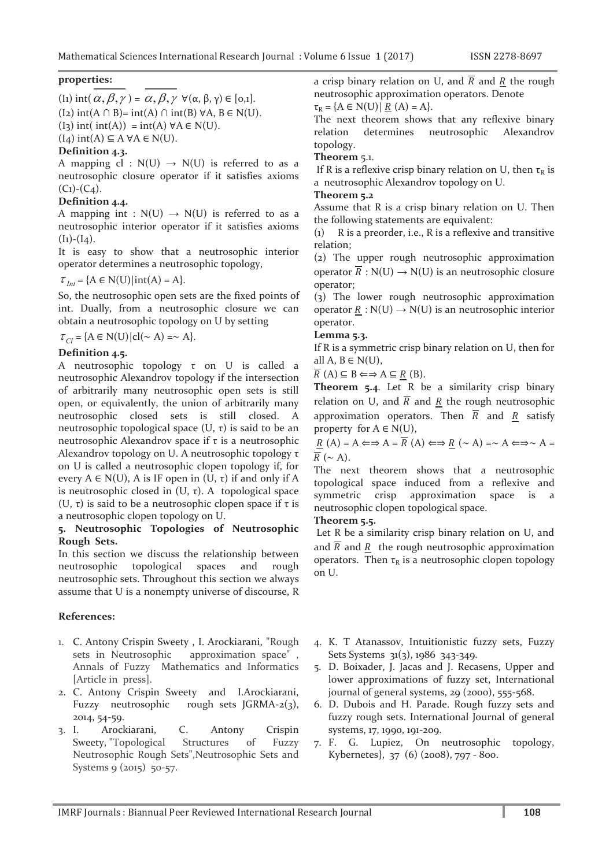#### **properties:**

(I<sub>1</sub>) int( $\alpha, \beta, \gamma$ ) =  $\alpha, \beta, \gamma$   $\forall (\alpha, \beta, \gamma) \in [0,1].$ 

(I<sub>2</sub>) int(A ∩ B)= int(A)  $\cap$  int(B)  $\forall$ A, B  $\in$  N(U).

 $(I_3)$  int( int(A)) = int(A)  $\forall A \in N(U)$ .

 $(I_4)$  int $(A) \subseteq A \forall A \in N(U)$ .

#### **Definition 4.3.**

A mapping cl :  $N(U) \rightarrow N(U)$  is referred to as a neutrosophic closure operator if it satisfies axioms  $(C_1)$ - $(C_4)$ .

#### **Definition 4.4.**

A mapping int :  $N(U) \rightarrow N(U)$  is referred to as a neutrosophic interior operator if it satisfies axioms  $(I<sub>1</sub>)-(I<sub>4</sub>)$ .

It is easy to show that a neutrosophic interior operator determines a neutrosophic topology,

 $\tau_{\text{Int}} = \{A \in N(U)|\text{int}(A) = A\}.$ 

So, the neutrosophic open sets are the fixed points of int. Dually, from a neutrosophic closure we can obtain a neutrosophic topology on U by setting

 $\tau_{Cl} = {A \in N(U) | cl(\sim A) = \sim A}.$ 

#### **Definition 4.5.**

A neutrosophic topology τ on U is called a neutrosophic Alexandrov topology if the intersection of arbitrarily many neutrosophic open sets is still open, or equivalently, the union of arbitrarily many neutrosophic closed sets is still closed. A neutrosophic topological space  $(U, τ)$  is said to be an neutrosophic Alexandrov space if τ is a neutrosophic Alexandrov topology on U. A neutrosophic topology τ on U is called a neutrosophic clopen topology if, for every  $A \in N(U)$ , A is IF open in  $(U, \tau)$  if and only if A is neutrosophic closed in  $(U, \tau)$ . A topological space (U,  $\tau$ ) is said to be a neutrosophic clopen space if  $\tau$  is a neutrosophic clopen topology on U.

### **5. Neutrosophic Topologies of Neutrosophic Rough Sets.**

In this section we discuss the relationship between neutrosophic topological spaces and rough neutrosophic sets. Throughout this section we always assume that U is a nonempty universe of discourse, R

#### **References:**

- 1. C. Antony Crispin Sweety , I. Arockiarani, "Rough sets in Neutrosophic approximation space" , Annals of Fuzzy Mathematics and Informatics [Article in press].
- 2. C. Antony Crispin Sweety and I.Arockiarani, Fuzzy neutrosophic rough sets JGRMA-2(3), 2014, 54-59.
- 3. I. Arockiarani, C. Antony Crispin Sweety, "Topological Structures of Fuzzy Neutrosophic Rough Sets",Neutrosophic Sets and Systems 9 (2015) 50-57.

a crisp binary relation on U, and  $\overline{R}$  and R the rough neutrosophic approximation operators. Denote

 $\tau_R = \{A \in N(U) | R(A) = A\}.$ 

The next theorem shows that any reflexive binary relation determines neutrosophic Alexandrov topology.

#### **Theorem** 5.1.

If R is a reflexive crisp binary relation on U, then  $\tau_R$  is a neutrosophic Alexandrov topology on U.

#### **Theorem 5.2**

Assume that R is a crisp binary relation on U. Then the following statements are equivalent:

(1) R is a preorder, i.e., R is a reflexive and transitive relation;

(2) The upper rough neutrosophic approximation operator  $\overline{R}$  : N(U)  $\rightarrow$  N(U) is an neutrosophic closure operator;

(3) The lower rough neutrosophic approximation operator  $R : N(U) \rightarrow N(U)$  is an neutrosophic interior operator.

#### **Lemma 5.3.**

If R is a symmetric crisp binary relation on U, then for all A,  $B \in N(U)$ ,

 $\overline{R}(A) \subseteq B \Longleftrightarrow A \subseteq R(B).$ 

**Theorem 5.4**. Let R be a similarity crisp binary relation on U, and  $\overline{R}$  and R the rough neutrosophic approximation operators. Then  $\overline{R}$  and R satisfy property for  $A \in N(U)$ ,

 $R(A) = A \Longleftrightarrow A = \overline{R}(A) \Longleftrightarrow R(\sim A) = \sim A \Longleftrightarrow A =$  $\overline{R}$  (  $\sim$  A).

The next theorem shows that a neutrosophic topological space induced from a reflexive and symmetric crisp approximation space is a neutrosophic clopen topological space.

**Theorem 5.5.** 

 Let R be a similarity crisp binary relation on U, and and  $\overline{R}$  and  $R$  the rough neutrosophic approximation operators. Then  $\tau_R$  is a neutrosophic clopen topology on U.

- 4. K. T Atanassov, Intuitionistic fuzzy sets, Fuzzy Sets Systems 31(3), 1986 343-349.
- 5. D. Boixader, J. Jacas and J. Recasens, Upper and lower approximations of fuzzy set, International journal of general systems, 29 (2000), 555-568.
- 6. D. Dubois and H. Parade. Rough fuzzy sets and fuzzy rough sets. International Journal of general systems, 17, 1990, 191-209.
- 7. F. G. Lupiez, On neutrosophic topology, Kybernetes}, 37 (6) (2008), 797 - 800.